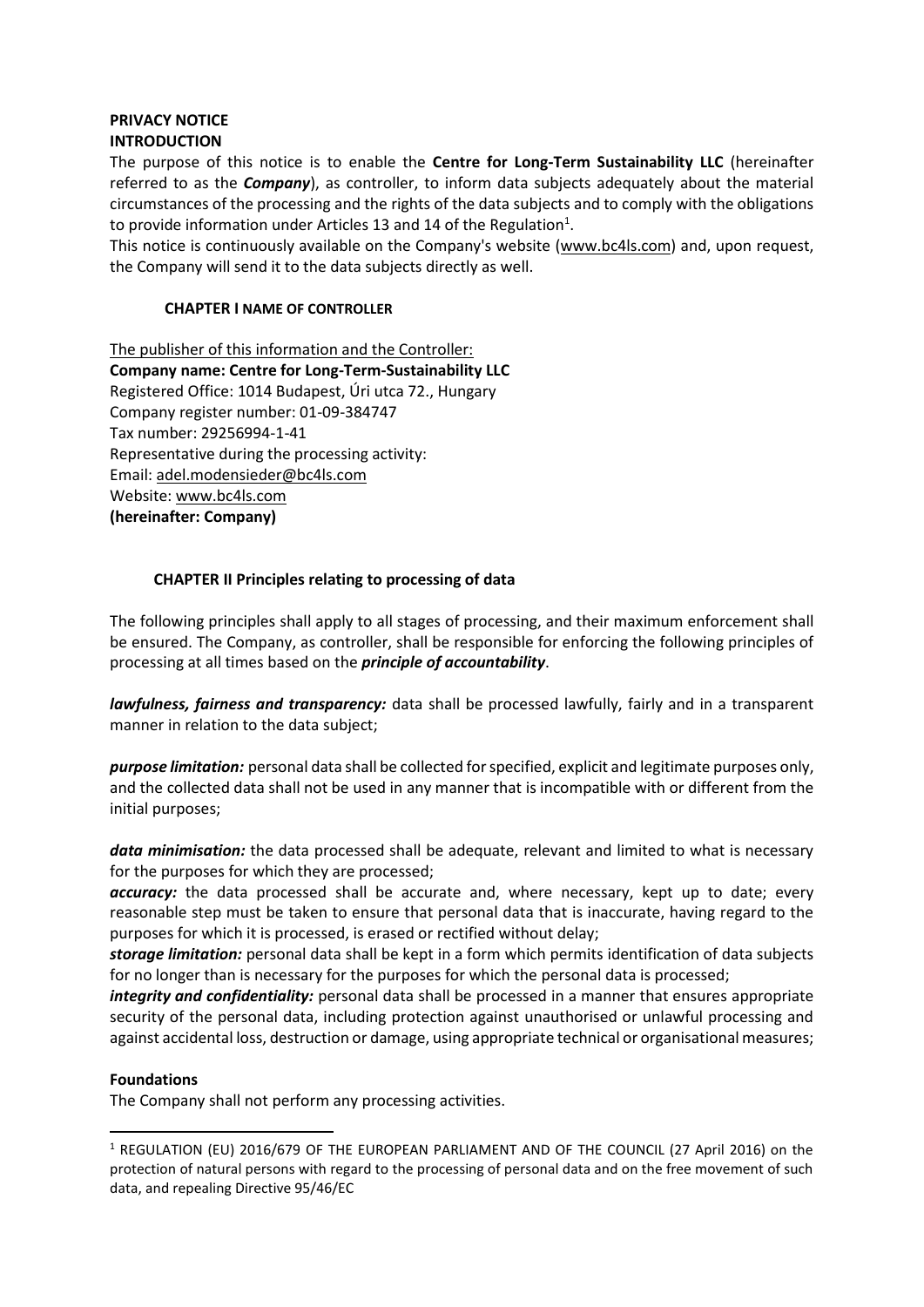## **PRIVACY NOTICE INTRODUCTION**

The purpose of this notice is to enable the **Centre for Long-Term Sustainability LLC** (hereinafter referred to as the *Company*), as controller, to inform data subjects adequately about the material circumstances of the processing and the rights of the data subjects and to comply with the obligations to provide information under Articles 13 and 14 of the Regulation<sup>1</sup>.

This notice is continuously available on the Company's website (www.bc4ls.com) and, upon request, the Company will send it to the data subjects directly as well.

## **CHAPTER I NAME OF CONTROLLER**

The publisher of this information and the Controller: **Company name: Centre for Long-Term-Sustainability LLC** Registered Office: 1014 Budapest, Úri utca 72., Hungary Company register number: 01-09-384747 Tax number: 29256994-1-41 Representative during the processing activity: Email: [adel.modensieder@bc4ls.com](mailto:adel.modensieder@bc4ls.com) Website: www.bc4ls.com **(hereinafter: Company)**

# **CHAPTER II Principles relating to processing of data**

The following principles shall apply to all stages of processing, and their maximum enforcement shall be ensured. The Company, as controller, shall be responsible for enforcing the following principles of processing at all times based on the *principle of accountability*.

*lawfulness, fairness and transparency:* data shall be processed lawfully, fairly and in a transparent manner in relation to the data subject;

*purpose limitation:* personal data shall be collected for specified, explicit and legitimate purposes only, and the collected data shall not be used in any manner that is incompatible with or different from the initial purposes;

*data minimisation:* the data processed shall be adequate, relevant and limited to what is necessary for the purposes for which they are processed;

*accuracy:* the data processed shall be accurate and, where necessary, kept up to date; every reasonable step must be taken to ensure that personal data that is inaccurate, having regard to the purposes for which it is processed, is erased or rectified without delay;

*storage limitation:* personal data shall be kept in a form which permits identification of data subjects for no longer than is necessary for the purposes for which the personal data is processed;

*integrity and confidentiality:* personal data shall be processed in a manner that ensures appropriate security of the personal data, including protection against unauthorised or unlawful processing and against accidental loss, destruction or damage, using appropriate technical or organisational measures;

#### **Foundations**

The Company shall not perform any processing activities.

<sup>1</sup> REGULATION (EU) 2016/679 OF THE EUROPEAN PARLIAMENT AND OF THE COUNCIL (27 April 2016) on the protection of natural persons with regard to the processing of personal data and on the free movement of such data, and repealing Directive 95/46/EC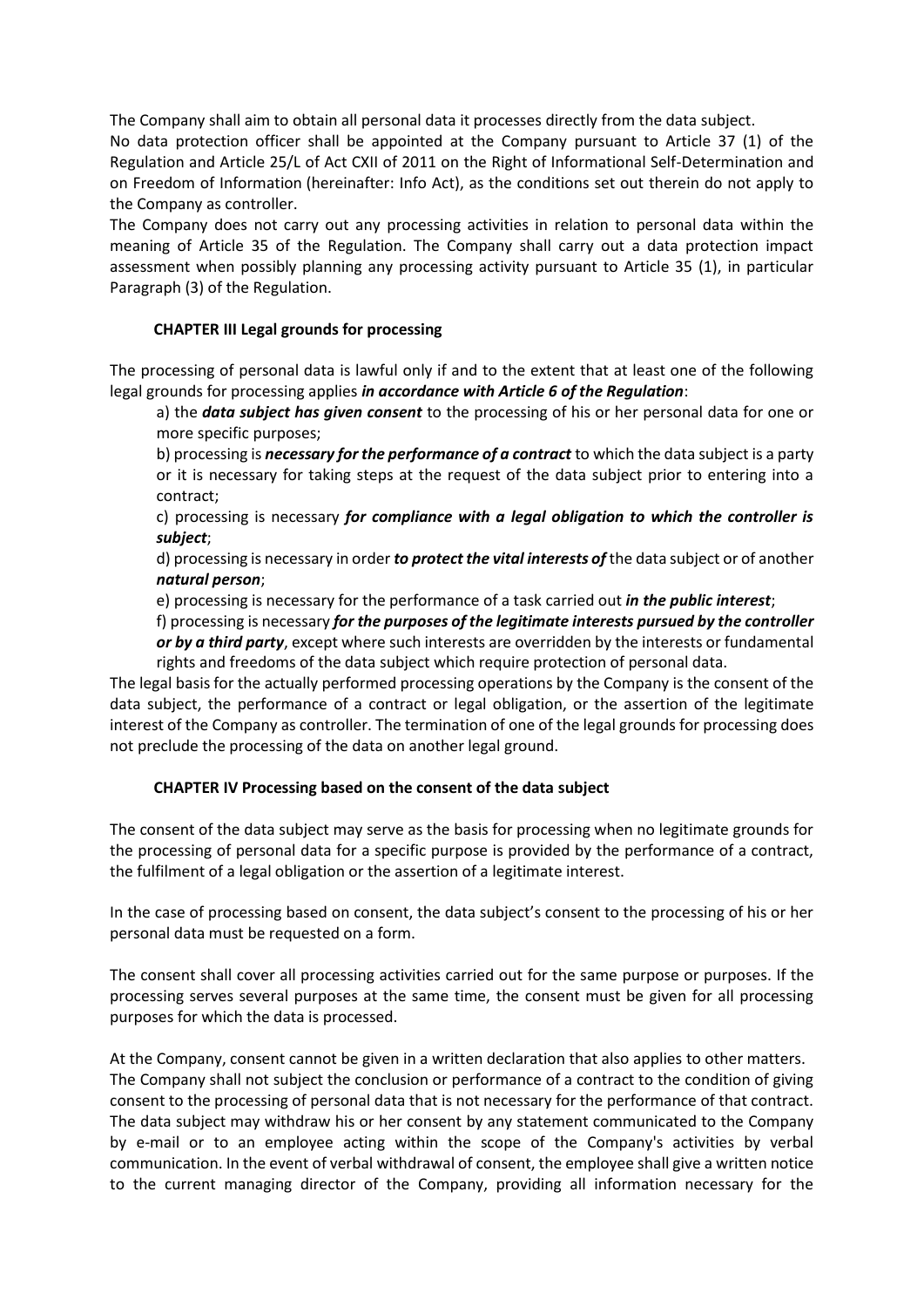The Company shall aim to obtain all personal data it processes directly from the data subject.

No data protection officer shall be appointed at the Company pursuant to Article 37 (1) of the Regulation and Article 25/L of Act CXII of 2011 on the Right of Informational Self-Determination and on Freedom of Information (hereinafter: Info Act), as the conditions set out therein do not apply to the Company as controller.

The Company does not carry out any processing activities in relation to personal data within the meaning of Article 35 of the Regulation. The Company shall carry out a data protection impact assessment when possibly planning any processing activity pursuant to Article 35 (1), in particular Paragraph (3) of the Regulation.

## **CHAPTER III Legal grounds for processing**

The processing of personal data is lawful only if and to the extent that at least one of the following legal grounds for processing applies *in accordance with Article 6 of the Regulation*:

a) the *data subject has given consent* to the processing of his or her personal data for one or more specific purposes;

b) processing is *necessary for the performance of a contract* to which the data subject is a party or it is necessary for taking steps at the request of the data subject prior to entering into a contract;

c) processing is necessary *for compliance with a legal obligation to which the controller is subject*;

d) processing is necessary in order *to protect the vital interests of* the data subject or of another *natural person*;

e) processing is necessary for the performance of a task carried out *in the public interest*;

f) processing is necessary *for the purposes of the legitimate interests pursued by the controller or by a third party*, except where such interests are overridden by the interests or fundamental rights and freedoms of the data subject which require protection of personal data.

The legal basis for the actually performed processing operations by the Company is the consent of the data subject, the performance of a contract or legal obligation, or the assertion of the legitimate interest of the Company as controller. The termination of one of the legal grounds for processing does not preclude the processing of the data on another legal ground.

# **CHAPTER IV Processing based on the consent of the data subject**

The consent of the data subject may serve as the basis for processing when no legitimate grounds for the processing of personal data for a specific purpose is provided by the performance of a contract, the fulfilment of a legal obligation or the assertion of a legitimate interest.

In the case of processing based on consent, the data subject's consent to the processing of his or her personal data must be requested on a form.

The consent shall cover all processing activities carried out for the same purpose or purposes. If the processing serves several purposes at the same time, the consent must be given for all processing purposes for which the data is processed.

At the Company, consent cannot be given in a written declaration that also applies to other matters. The Company shall not subject the conclusion or performance of a contract to the condition of giving consent to the processing of personal data that is not necessary for the performance of that contract. The data subject may withdraw his or her consent by any statement communicated to the Company by e-mail or to an employee acting within the scope of the Company's activities by verbal communication. In the event of verbal withdrawal of consent, the employee shall give a written notice to the current managing director of the Company, providing all information necessary for the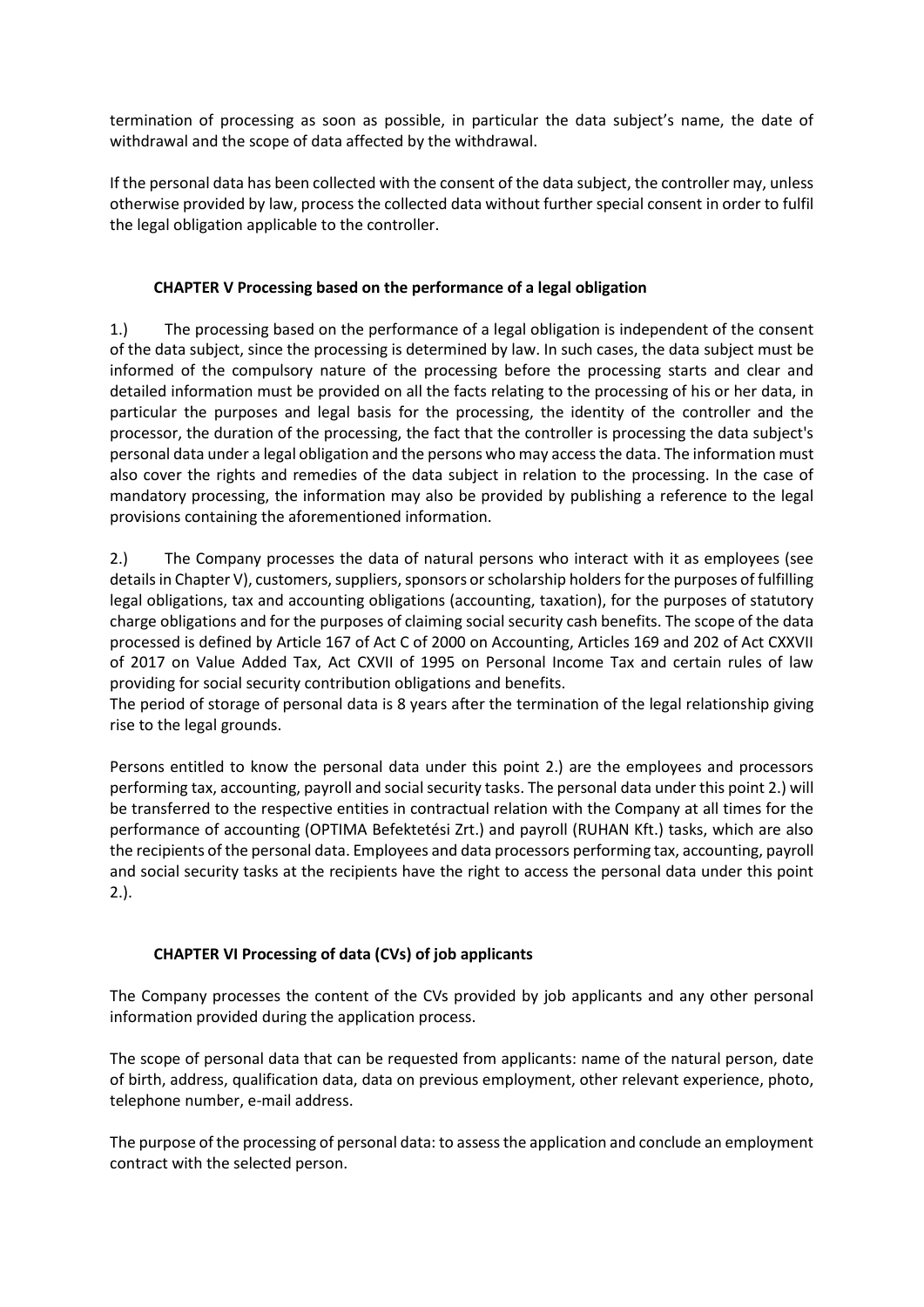termination of processing as soon as possible, in particular the data subject's name, the date of withdrawal and the scope of data affected by the withdrawal.

If the personal data has been collected with the consent of the data subject, the controller may, unless otherwise provided by law, process the collected data without further special consent in order to fulfil the legal obligation applicable to the controller.

# **CHAPTER V Processing based on the performance of a legal obligation**

1.) The processing based on the performance of a legal obligation is independent of the consent of the data subject, since the processing is determined by law. In such cases, the data subject must be informed of the compulsory nature of the processing before the processing starts and clear and detailed information must be provided on all the facts relating to the processing of his or her data, in particular the purposes and legal basis for the processing, the identity of the controller and the processor, the duration of the processing, the fact that the controller is processing the data subject's personal data under a legal obligation and the persons who may access the data. The information must also cover the rights and remedies of the data subject in relation to the processing. In the case of mandatory processing, the information may also be provided by publishing a reference to the legal provisions containing the aforementioned information.

2.) The Company processes the data of natural persons who interact with it as employees (see details in Chapter V), customers, suppliers, sponsors or scholarship holders for the purposes of fulfilling legal obligations, tax and accounting obligations (accounting, taxation), for the purposes of statutory charge obligations and for the purposes of claiming social security cash benefits. The scope of the data processed is defined by Article 167 of Act C of 2000 on Accounting, Articles 169 and 202 of Act CXXVII of 2017 on Value Added Tax, Act CXVII of 1995 on Personal Income Tax and certain rules of law providing for social security contribution obligations and benefits.

The period of storage of personal data is 8 years after the termination of the legal relationship giving rise to the legal grounds.

Persons entitled to know the personal data under this point 2.) are the employees and processors performing tax, accounting, payroll and social security tasks. The personal data under this point 2.) will be transferred to the respective entities in contractual relation with the Company at all times for the performance of accounting (OPTIMA Befektetési Zrt.) and payroll (RUHAN Kft.) tasks, which are also the recipients of the personal data. Employees and data processors performing tax, accounting, payroll and social security tasks at the recipients have the right to access the personal data under this point 2.).

# **CHAPTER VI Processing of data (CVs) of job applicants**

The Company processes the content of the CVs provided by job applicants and any other personal information provided during the application process.

The scope of personal data that can be requested from applicants: name of the natural person, date of birth, address, qualification data, data on previous employment, other relevant experience, photo, telephone number, e-mail address.

The purpose of the processing of personal data: to assess the application and conclude an employment contract with the selected person.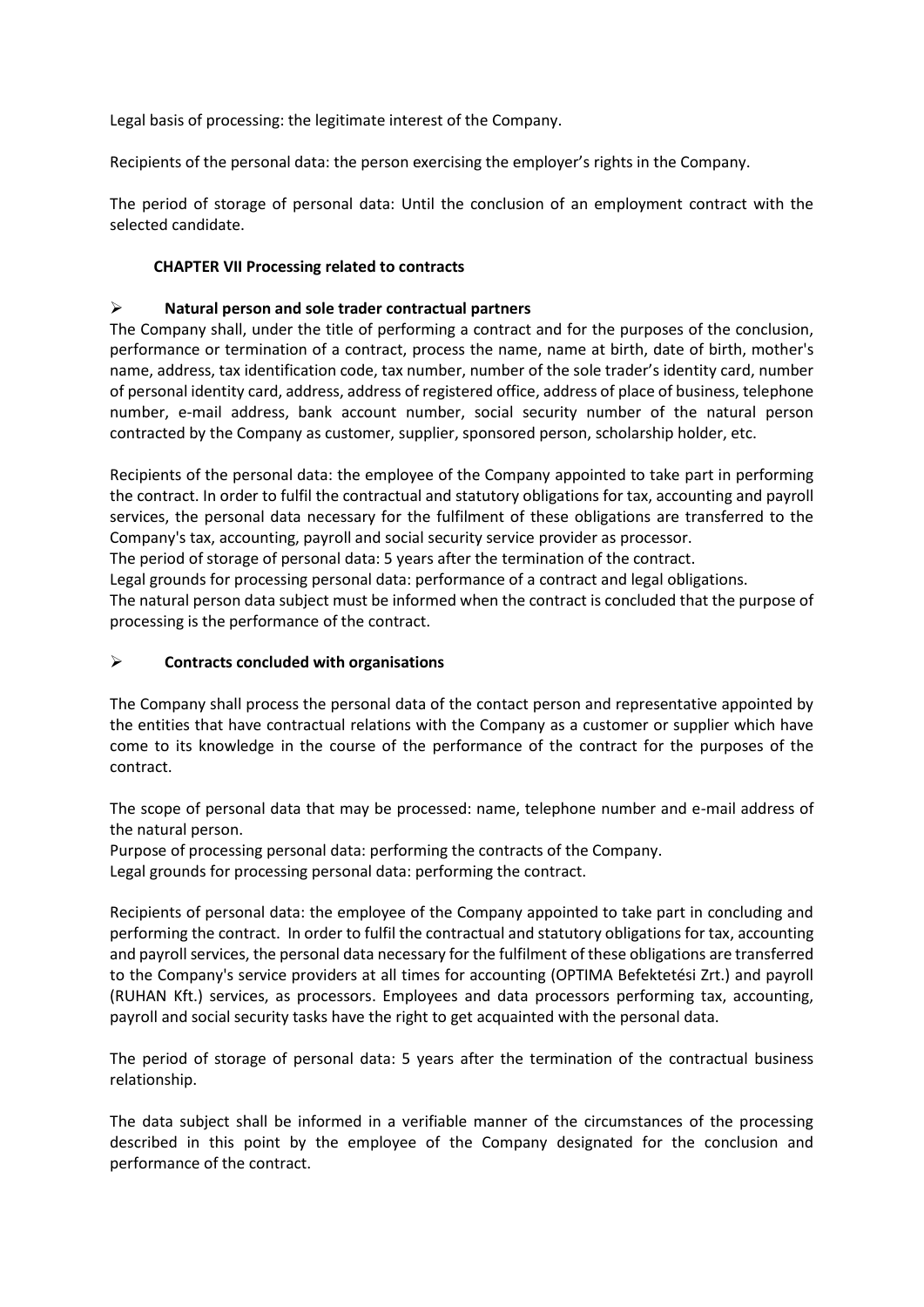Legal basis of processing: the legitimate interest of the Company.

Recipients of the personal data: the person exercising the employer's rights in the Company.

The period of storage of personal data: Until the conclusion of an employment contract with the selected candidate.

## **CHAPTER VII Processing related to contracts**

## ➢ **Natural person and sole trader contractual partners**

The Company shall, under the title of performing a contract and for the purposes of the conclusion, performance or termination of a contract, process the name, name at birth, date of birth, mother's name, address, tax identification code, tax number, number of the sole trader's identity card, number of personal identity card, address, address of registered office, address of place of business, telephone number, e-mail address, bank account number, social security number of the natural person contracted by the Company as customer, supplier, sponsored person, scholarship holder, etc.

Recipients of the personal data: the employee of the Company appointed to take part in performing the contract. In order to fulfil the contractual and statutory obligations for tax, accounting and payroll services, the personal data necessary for the fulfilment of these obligations are transferred to the Company's tax, accounting, payroll and social security service provider as processor.

The period of storage of personal data: 5 years after the termination of the contract.

Legal grounds for processing personal data: performance of a contract and legal obligations.

The natural person data subject must be informed when the contract is concluded that the purpose of processing is the performance of the contract.

## ➢ **Contracts concluded with organisations**

The Company shall process the personal data of the contact person and representative appointed by the entities that have contractual relations with the Company as a customer or supplier which have come to its knowledge in the course of the performance of the contract for the purposes of the contract.

The scope of personal data that may be processed: name, telephone number and e-mail address of the natural person.

Purpose of processing personal data: performing the contracts of the Company. Legal grounds for processing personal data: performing the contract.

Recipients of personal data: the employee of the Company appointed to take part in concluding and performing the contract. In order to fulfil the contractual and statutory obligations for tax, accounting and payroll services, the personal data necessary for the fulfilment of these obligations are transferred to the Company's service providers at all times for accounting (OPTIMA Befektetési Zrt.) and payroll (RUHAN Kft.) services, as processors. Employees and data processors performing tax, accounting, payroll and social security tasks have the right to get acquainted with the personal data.

The period of storage of personal data: 5 years after the termination of the contractual business relationship.

The data subject shall be informed in a verifiable manner of the circumstances of the processing described in this point by the employee of the Company designated for the conclusion and performance of the contract.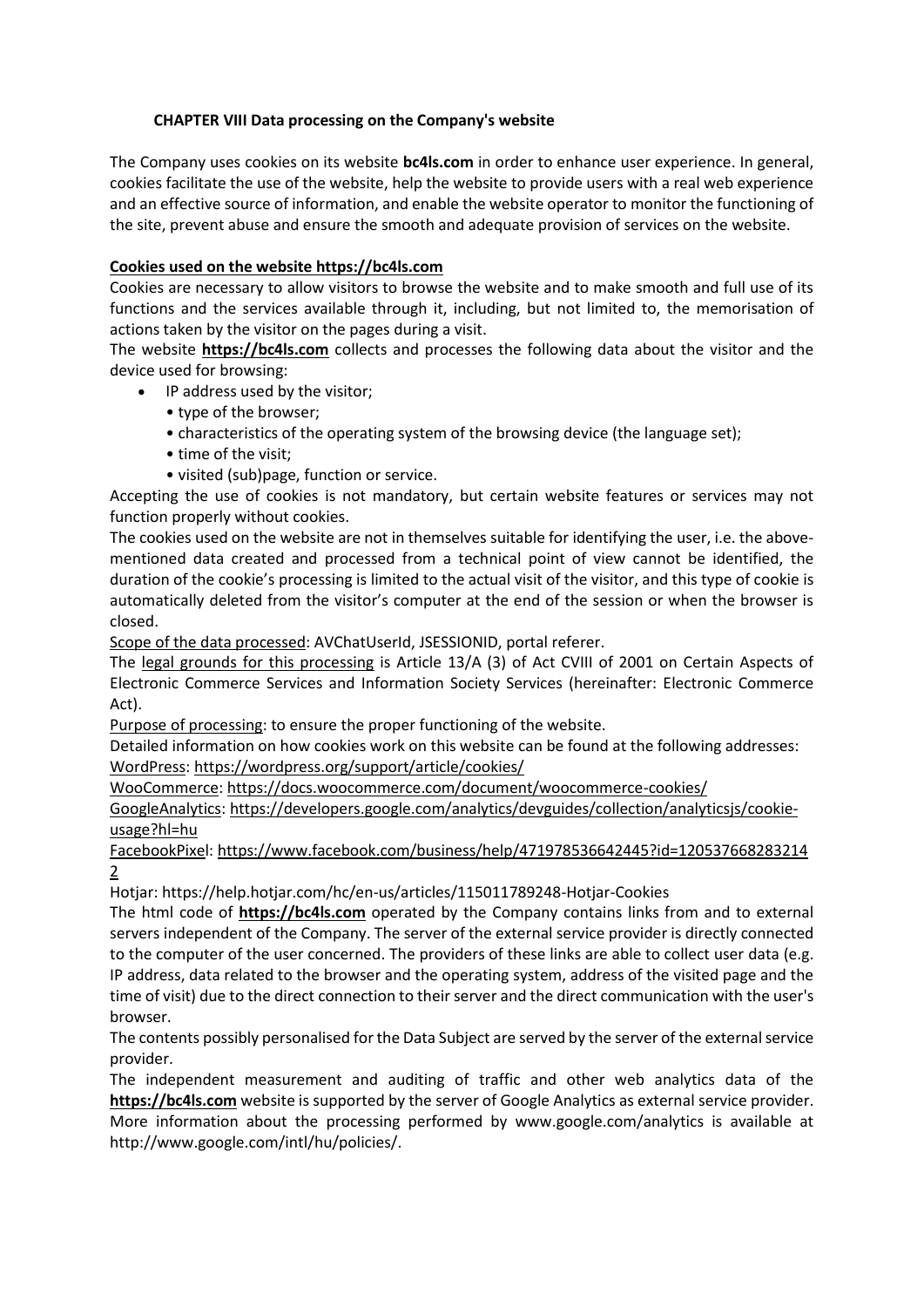## **CHAPTER VIII Data processing on the Company's website**

The Company uses cookies on its website **bc4ls.com** in order to enhance user experience. In general, cookies facilitate the use of the website, help the website to provide users with a real web experience and an effective source of information, and enable the website operator to monitor the functioning of the site, prevent abuse and ensure the smooth and adequate provision of services on the website.

## **Cookies used on the website https://bc4ls.com**

Cookies are necessary to allow visitors to browse the website and to make smooth and full use of its functions and the services available through it, including, but not limited to, the memorisation of actions taken by the visitor on the pages during a visit.

The website **https://bc4ls.com** collects and processes the following data about the visitor and the device used for browsing:

- IP address used by the visitor;
	- type of the browser;
	- characteristics of the operating system of the browsing device (the language set);
	- time of the visit;
	- visited (sub)page, function or service.

Accepting the use of cookies is not mandatory, but certain website features or services may not function properly without cookies.

The cookies used on the website are not in themselves suitable for identifying the user, i.e. the abovementioned data created and processed from a technical point of view cannot be identified, the duration of the cookie's processing is limited to the actual visit of the visitor, and this type of cookie is automatically deleted from the visitor's computer at the end of the session or when the browser is closed.

Scope of the data processed: AVChatUserId, JSESSIONID, portal referer.

The legal grounds for this processing is Article 13/A (3) of Act CVIII of 2001 on Certain Aspects of Electronic Commerce Services and Information Society Services (hereinafter: Electronic Commerce Act).

Purpose of processing: to ensure the proper functioning of the website.

Detailed information on how cookies work on this website can be found at the following addresses: WordPress: <https://wordpress.org/support/article/cookies/>

WooCommerce: <https://docs.woocommerce.com/document/woocommerce-cookies/>

GoogleAnalytics: [https://developers.google.com/analytics/devguides/collection/analyticsjs/cookie](https://developers.google.com/analytics/devguides/collection/analyticsjs/cookie-usage?hl=hu)[usage?hl=hu](https://developers.google.com/analytics/devguides/collection/analyticsjs/cookie-usage?hl=hu)

FacebookPixel: [https://www.facebook.com/business/help/471978536642445?id=120537668283214](https://www.facebook.com/business/help/471978536642445?id=1205376682832142) [2](https://www.facebook.com/business/help/471978536642445?id=1205376682832142)

Hotjar: <https://help.hotjar.com/hc/en-us/articles/115011789248-Hotjar-Cookies>

The html code of **https://bc4ls.com** operated by the Company contains links from and to external servers independent of the Company. The server of the external service provider is directly connected to the computer of the user concerned. The providers of these links are able to collect user data (e.g. IP address, data related to the browser and the operating system, address of the visited page and the time of visit) due to the direct connection to their server and the direct communication with the user's browser.

The contents possibly personalised for the Data Subject are served by the server of the external service provider.

The independent measurement and auditing of traffic and other web analytics data of the **https://bc4ls.com** website is supported by the server of Google Analytics as external service provider. More information about the processing performed by www.google.com/analytics is available at http://www.google.com/intl/hu/policies/.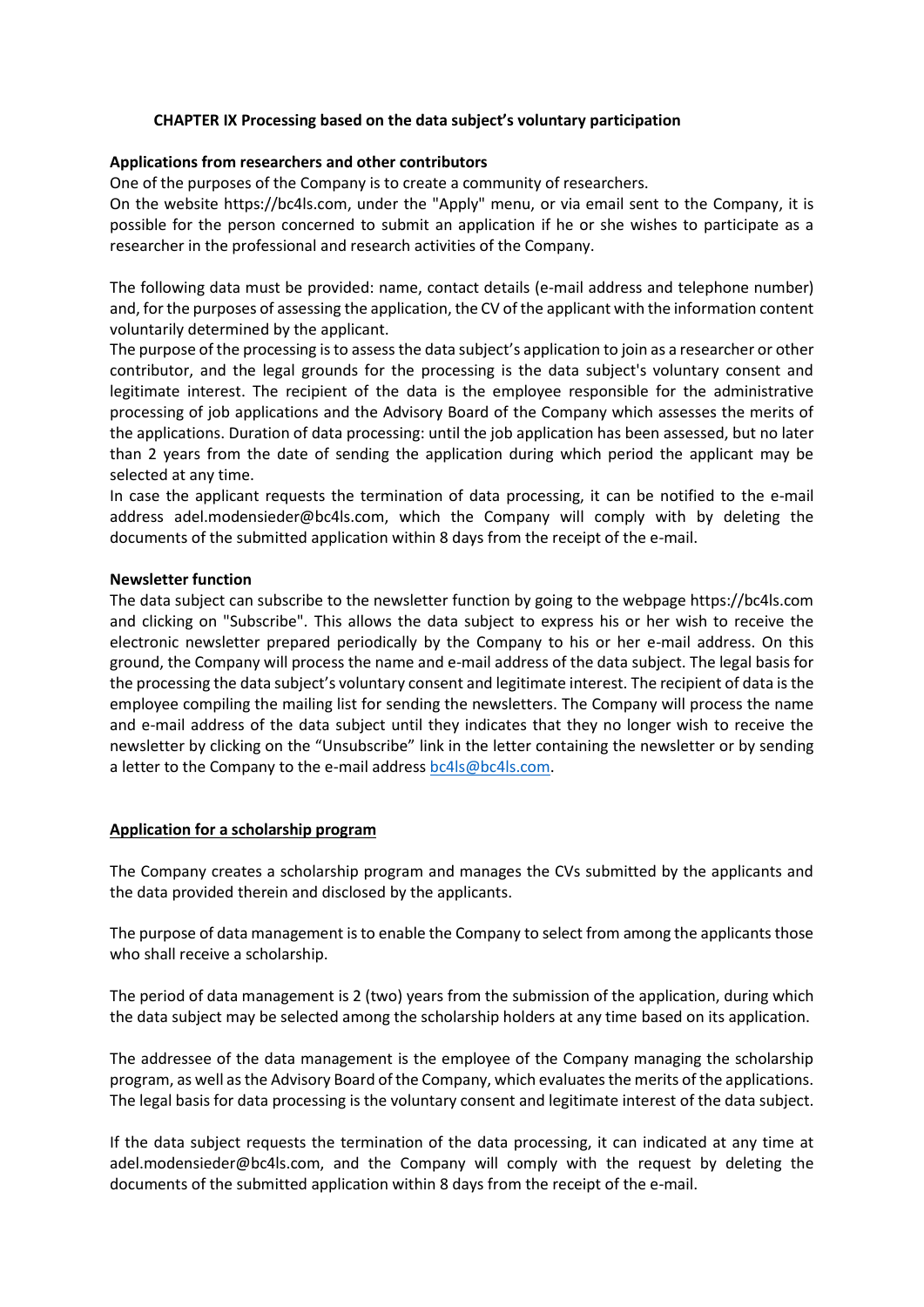## **CHAPTER IX Processing based on the data subject's voluntary participation**

#### **Applications from researchers and other contributors**

One of the purposes of the Company is to create a community of researchers.

On the website https://bc4ls.com, under the "Apply" menu, or via email sent to the Company, it is possible for the person concerned to submit an application if he or she wishes to participate as a researcher in the professional and research activities of the Company.

The following data must be provided: name, contact details (e-mail address and telephone number) and, for the purposes of assessing the application, the CV of the applicant with the information content voluntarily determined by the applicant.

The purpose of the processing is to assess the data subject's application to join as a researcher or other contributor, and the legal grounds for the processing is the data subject's voluntary consent and legitimate interest. The recipient of the data is the employee responsible for the administrative processing of job applications and the Advisory Board of the Company which assesses the merits of the applications. Duration of data processing: until the job application has been assessed, but no later than 2 years from the date of sending the application during which period the applicant may be selected at any time.

In case the applicant requests the termination of data processing, it can be notified to the e-mail address adel.modensieder@bc4ls.com, which the Company will comply with by deleting the documents of the submitted application within 8 days from the receipt of the e-mail.

#### **Newsletter function**

The data subject can subscribe to the newsletter function by going to the webpage https://bc4ls.com and clicking on "Subscribe". This allows the data subject to express his or her wish to receive the electronic newsletter prepared periodically by the Company to his or her e-mail address. On this ground, the Company will process the name and e-mail address of the data subject. The legal basis for the processing the data subject's voluntary consent and legitimate interest. The recipient of data is the employee compiling the mailing list for sending the newsletters. The Company will process the name and e-mail address of the data subject until they indicates that they no longer wish to receive the newsletter by clicking on the "Unsubscribe" link in the letter containing the newsletter or by sending a letter to the Company to the e-mail address [bc4ls@bc4ls.com.](mailto:bc4ls@bc4ls.com)

#### **Application for a scholarship program**

The Company creates a scholarship program and manages the CVs submitted by the applicants and the data provided therein and disclosed by the applicants.

The purpose of data management is to enable the Company to select from among the applicants those who shall receive a scholarship.

The period of data management is 2 (two) years from the submission of the application, during which the data subject may be selected among the scholarship holders at any time based on its application.

The addressee of the data management is the employee of the Company managing the scholarship program, as well as the Advisory Board of the Company, which evaluates the merits of the applications. The legal basis for data processing is the voluntary consent and legitimate interest of the data subject.

If the data subject requests the termination of the data processing, it can indicated at any time at adel.modensieder@bc4ls.com, and the Company will comply with the request by deleting the documents of the submitted application within 8 days from the receipt of the e-mail.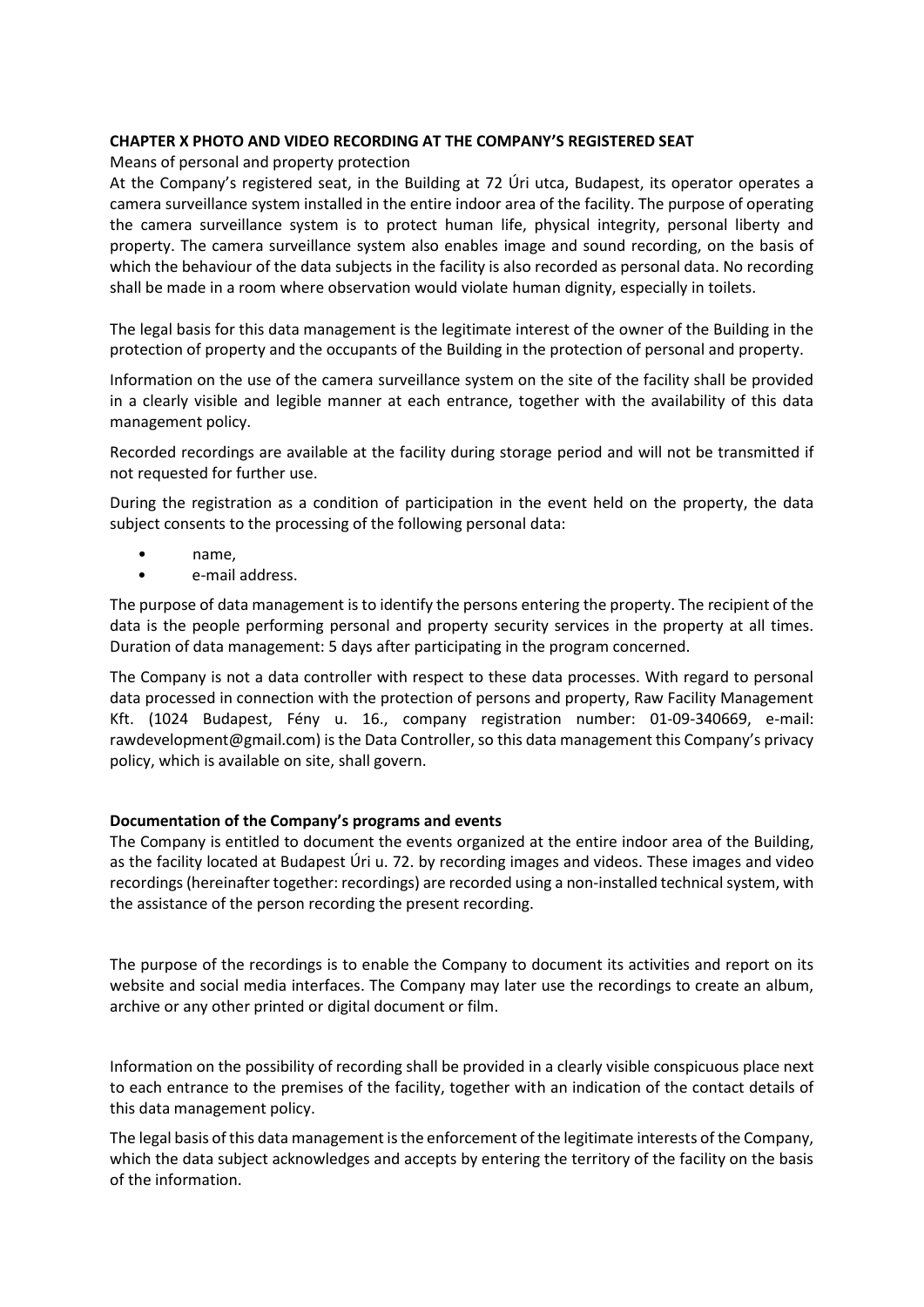## **CHAPTER X PHOTO AND VIDEO RECORDING AT THE COMPANY'S REGISTERED SEAT**

Means of personal and property protection

At the Company's registered seat, in the Building at 72 Úri utca, Budapest, its operator operates a camera surveillance system installed in the entire indoor area of the facility. The purpose of operating the camera surveillance system is to protect human life, physical integrity, personal liberty and property. The camera surveillance system also enables image and sound recording, on the basis of which the behaviour of the data subjects in the facility is also recorded as personal data. No recording shall be made in a room where observation would violate human dignity, especially in toilets.

The legal basis for this data management is the legitimate interest of the owner of the Building in the protection of property and the occupants of the Building in the protection of personal and property.

Information on the use of the camera surveillance system on the site of the facility shall be provided in a clearly visible and legible manner at each entrance, together with the availability of this data management policy.

Recorded recordings are available at the facility during storage period and will not be transmitted if not requested for further use.

During the registration as a condition of participation in the event held on the property, the data subject consents to the processing of the following personal data:

- name,
- e-mail address.

The purpose of data management is to identify the persons entering the property. The recipient of the data is the people performing personal and property security services in the property at all times. Duration of data management: 5 days after participating in the program concerned.

The Company is not a data controller with respect to these data processes. With regard to personal data processed in connection with the protection of persons and property, Raw Facility Management Kft. (1024 Budapest, Fény u. 16., company registration number: 01-09-340669, e-mail: rawdevelopment@gmail.com) is the Data Controller, so this data management this Company's privacy policy, which is available on site, shall govern.

#### **Documentation of the Company's programs and events**

The Company is entitled to document the events organized at the entire indoor area of the Building, as the facility located at Budapest Úri u. 72. by recording images and videos. These images and video recordings (hereinafter together: recordings) are recorded using a non-installed technical system, with the assistance of the person recording the present recording.

The purpose of the recordings is to enable the Company to document its activities and report on its website and social media interfaces. The Company may later use the recordings to create an album, archive or any other printed or digital document or film.

Information on the possibility of recording shall be provided in a clearly visible conspicuous place next to each entrance to the premises of the facility, together with an indication of the contact details of this data management policy.

The legal basis of this data management is the enforcement of the legitimate interests of the Company, which the data subject acknowledges and accepts by entering the territory of the facility on the basis of the information.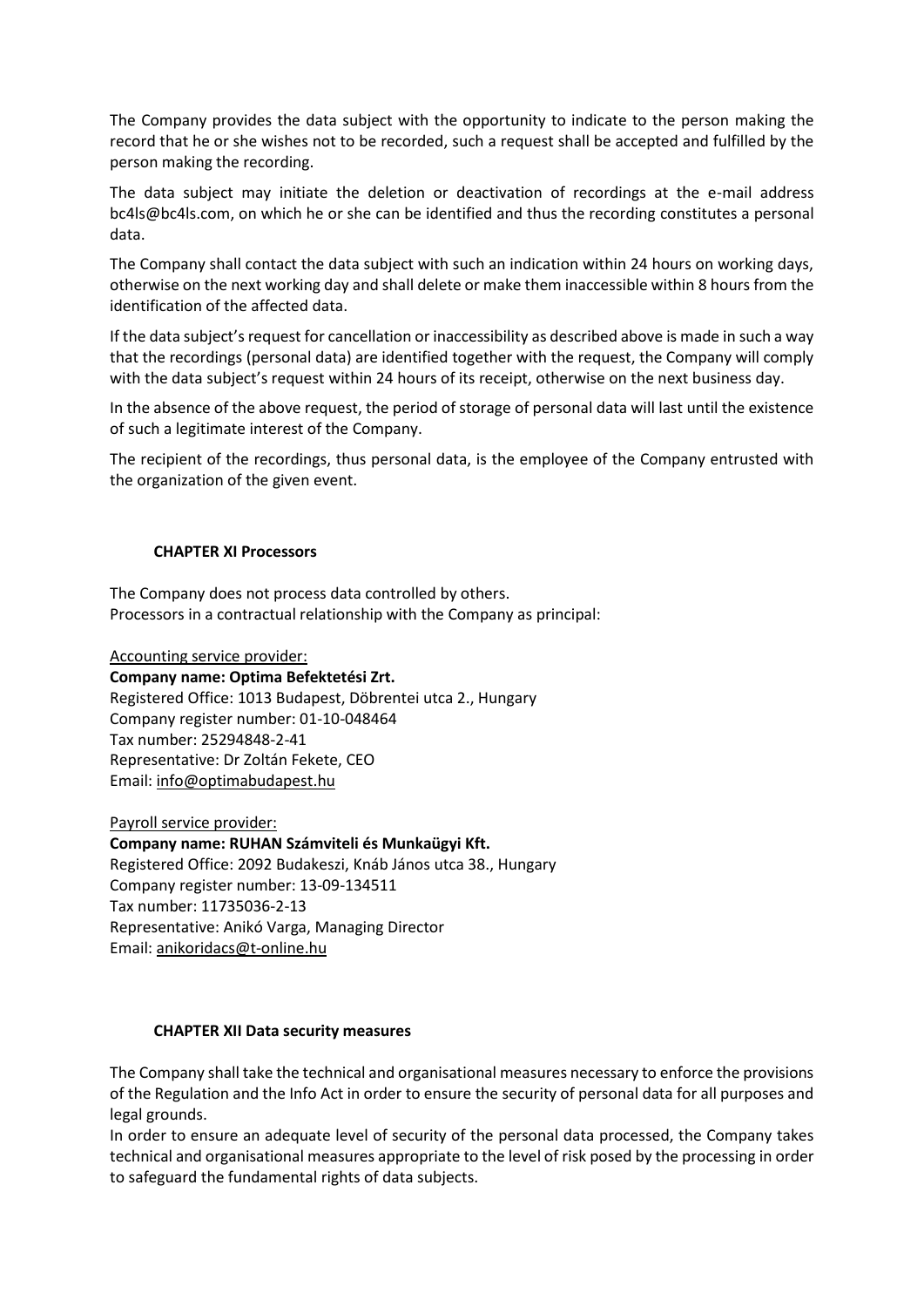The Company provides the data subject with the opportunity to indicate to the person making the record that he or she wishes not to be recorded, such a request shall be accepted and fulfilled by the person making the recording.

The data subject may initiate the deletion or deactivation of recordings at the e-mail address bc4ls@bc4ls.com, on which he or she can be identified and thus the recording constitutes a personal data.

The Company shall contact the data subject with such an indication within 24 hours on working days, otherwise on the next working day and shall delete or make them inaccessible within 8 hours from the identification of the affected data.

If the data subject's request for cancellation or inaccessibility as described above is made in such a way that the recordings (personal data) are identified together with the request, the Company will comply with the data subject's request within 24 hours of its receipt, otherwise on the next business day.

In the absence of the above request, the period of storage of personal data will last until the existence of such a legitimate interest of the Company.

The recipient of the recordings, thus personal data, is the employee of the Company entrusted with the organization of the given event.

#### **CHAPTER XI Processors**

The Company does not process data controlled by others. Processors in a contractual relationship with the Company as principal:

Accounting service provider: **Company name: Optima Befektetési Zrt.**  Registered Office: 1013 Budapest, Döbrentei utca 2., Hungary Company register number: 01-10-048464 Tax number: 25294848-2-41 Representative: Dr Zoltán Fekete, CEO Email: [info@optimabudapest.hu](mailto:info@optimabudapest.hu)

Payroll service provider: **Company name: RUHAN Számviteli és Munkaügyi Kft.** Registered Office: 2092 Budakeszi, Knáb János utca 38., Hungary Company register number: 13-09-134511 Tax number: 11735036-2-13 Representative: Anikó Varga, Managing Director Email: [anikoridacs@t-online.hu](mailto:anikoridacs@t-online.hu)

#### **CHAPTER XII Data security measures**

The Company shall take the technical and organisational measures necessary to enforce the provisions of the Regulation and the Info Act in order to ensure the security of personal data for all purposes and legal grounds.

In order to ensure an adequate level of security of the personal data processed, the Company takes technical and organisational measures appropriate to the level of risk posed by the processing in order to safeguard the fundamental rights of data subjects.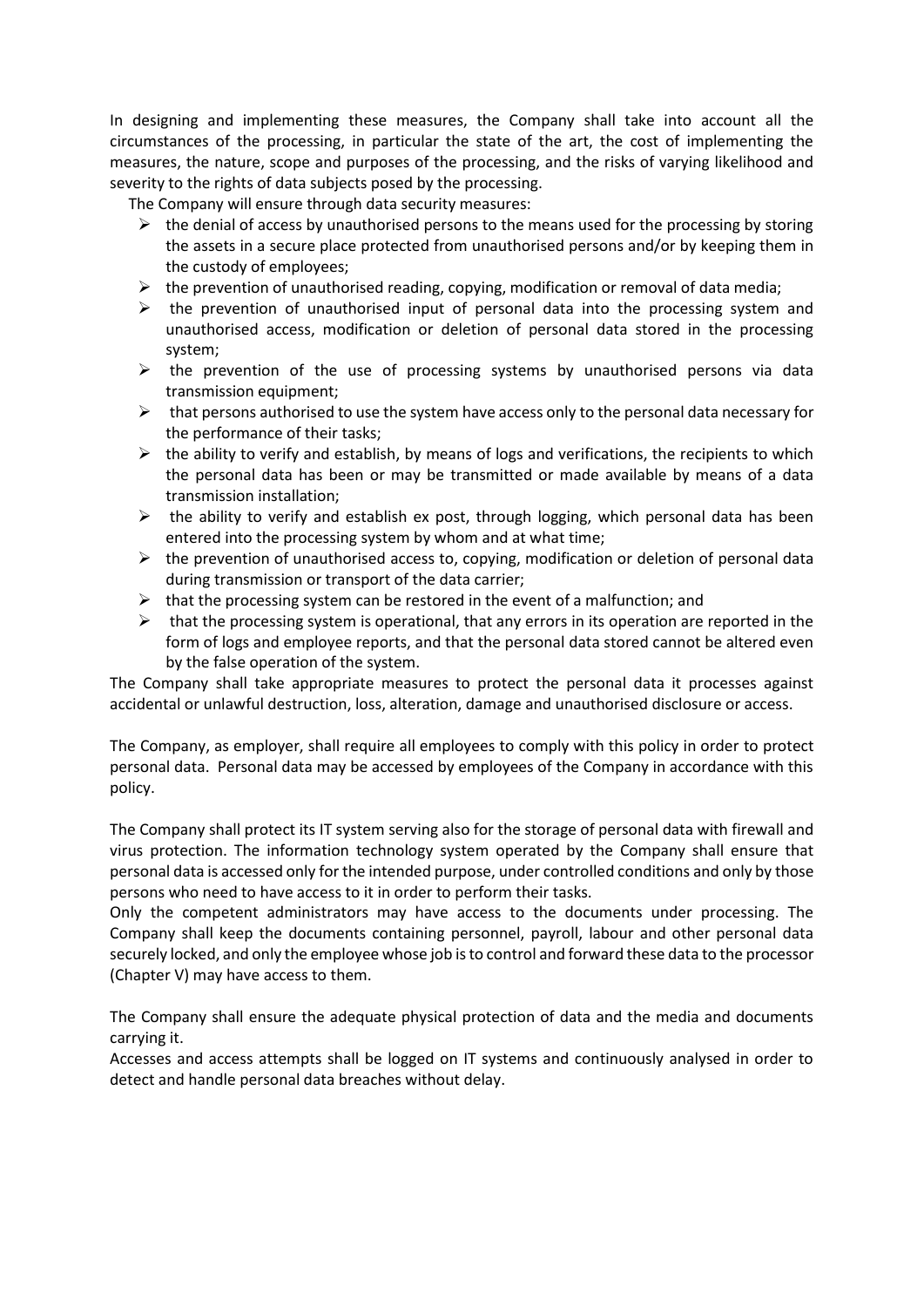In designing and implementing these measures, the Company shall take into account all the circumstances of the processing, in particular the state of the art, the cost of implementing the measures, the nature, scope and purposes of the processing, and the risks of varying likelihood and severity to the rights of data subjects posed by the processing.

The Company will ensure through data security measures:

- $\triangleright$  the denial of access by unauthorised persons to the means used for the processing by storing the assets in a secure place protected from unauthorised persons and/or by keeping them in the custody of employees;
- $\triangleright$  the prevention of unauthorised reading, copying, modification or removal of data media;
- $\triangleright$  the prevention of unauthorised input of personal data into the processing system and unauthorised access, modification or deletion of personal data stored in the processing system;
- $\triangleright$  the prevention of the use of processing systems by unauthorised persons via data transmission equipment;
- $\triangleright$  that persons authorised to use the system have access only to the personal data necessary for the performance of their tasks;
- $\triangleright$  the ability to verify and establish, by means of logs and verifications, the recipients to which the personal data has been or may be transmitted or made available by means of a data transmission installation;
- $\triangleright$  the ability to verify and establish ex post, through logging, which personal data has been entered into the processing system by whom and at what time;
- $\triangleright$  the prevention of unauthorised access to, copying, modification or deletion of personal data during transmission or transport of the data carrier;
- $\triangleright$  that the processing system can be restored in the event of a malfunction; and
- $\triangleright$  that the processing system is operational, that any errors in its operation are reported in the form of logs and employee reports, and that the personal data stored cannot be altered even by the false operation of the system.

The Company shall take appropriate measures to protect the personal data it processes against accidental or unlawful destruction, loss, alteration, damage and unauthorised disclosure or access.

The Company, as employer, shall require all employees to comply with this policy in order to protect personal data. Personal data may be accessed by employees of the Company in accordance with this policy.

The Company shall protect its IT system serving also for the storage of personal data with firewall and virus protection. The information technology system operated by the Company shall ensure that personal data is accessed only for the intended purpose, under controlled conditions and only by those persons who need to have access to it in order to perform their tasks.

Only the competent administrators may have access to the documents under processing. The Company shall keep the documents containing personnel, payroll, labour and other personal data securely locked, and only the employee whose job is to control and forward these data to the processor (Chapter V) may have access to them.

The Company shall ensure the adequate physical protection of data and the media and documents carrying it.

Accesses and access attempts shall be logged on IT systems and continuously analysed in order to detect and handle personal data breaches without delay.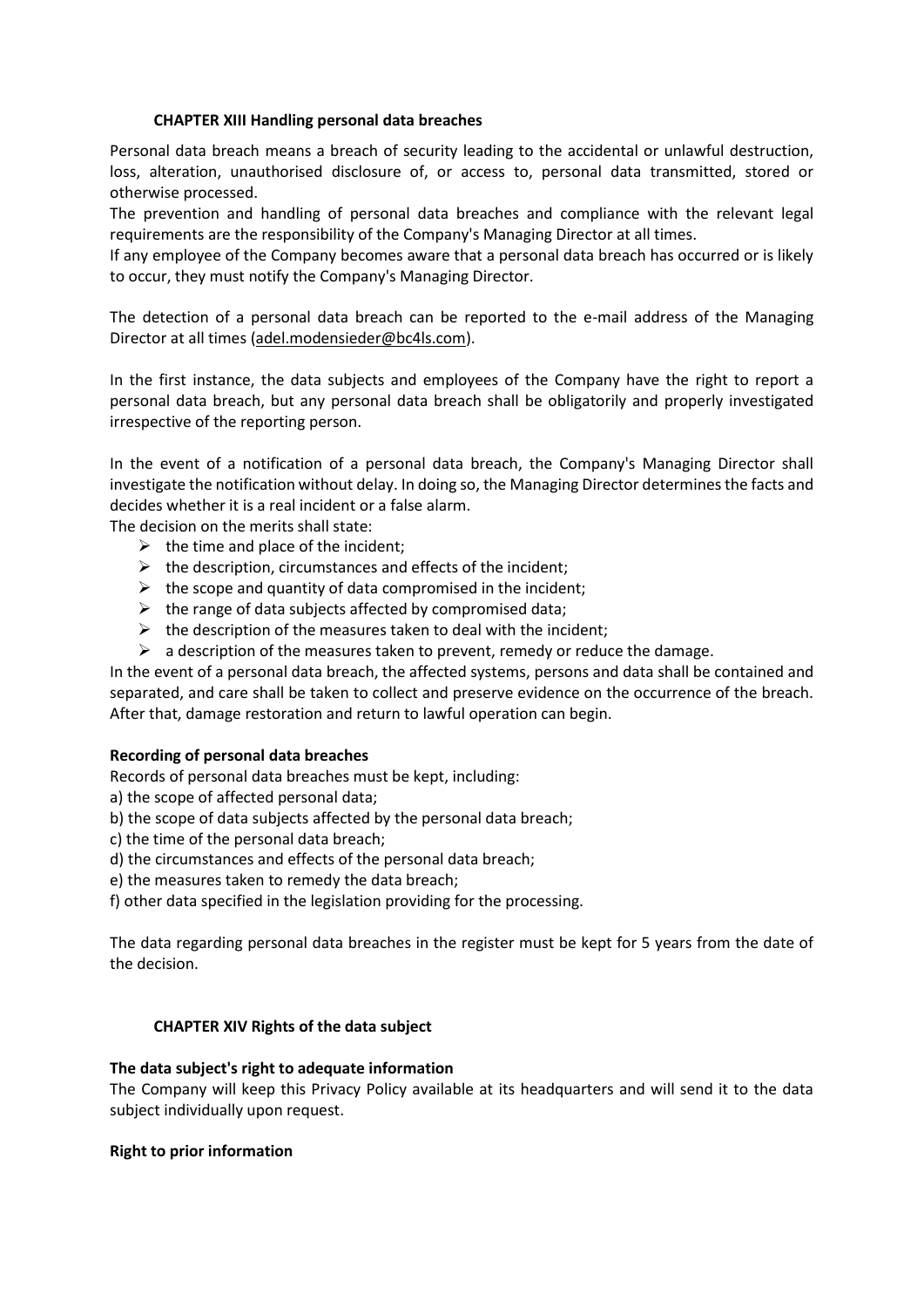## **CHAPTER XIII Handling personal data breaches**

Personal data breach means a breach of security leading to the accidental or unlawful destruction, loss, alteration, unauthorised disclosure of, or access to, personal data transmitted, stored or otherwise processed.

The prevention and handling of personal data breaches and compliance with the relevant legal requirements are the responsibility of the Company's Managing Director at all times.

If any employee of the Company becomes aware that a personal data breach has occurred or is likely to occur, they must notify the Company's Managing Director.

The detection of a personal data breach can be reported to the e-mail address of the Managing Director at all times [\(adel.modensieder@bc4ls.com\)](mailto:adel.modensieder@bc4ls.com).

In the first instance, the data subjects and employees of the Company have the right to report a personal data breach, but any personal data breach shall be obligatorily and properly investigated irrespective of the reporting person.

In the event of a notification of a personal data breach, the Company's Managing Director shall investigate the notification without delay. In doing so, the Managing Director determines the facts and decides whether it is a real incident or a false alarm.

The decision on the merits shall state:

- $\triangleright$  the time and place of the incident;
- $\triangleright$  the description, circumstances and effects of the incident;
- $\triangleright$  the scope and quantity of data compromised in the incident;
- $\triangleright$  the range of data subjects affected by compromised data;
- $\triangleright$  the description of the measures taken to deal with the incident;
- $\triangleright$  a description of the measures taken to prevent, remedy or reduce the damage.

In the event of a personal data breach, the affected systems, persons and data shall be contained and separated, and care shall be taken to collect and preserve evidence on the occurrence of the breach. After that, damage restoration and return to lawful operation can begin.

#### **Recording of personal data breaches**

Records of personal data breaches must be kept, including:

- a) the scope of affected personal data;
- b) the scope of data subjects affected by the personal data breach;
- c) the time of the personal data breach;
- d) the circumstances and effects of the personal data breach;
- e) the measures taken to remedy the data breach;

f) other data specified in the legislation providing for the processing.

The data regarding personal data breaches in the register must be kept for 5 years from the date of the decision.

#### **CHAPTER XIV Rights of the data subject**

#### **The data subject's right to adequate information**

The Company will keep this Privacy Policy available at its headquarters and will send it to the data subject individually upon request.

#### **Right to prior information**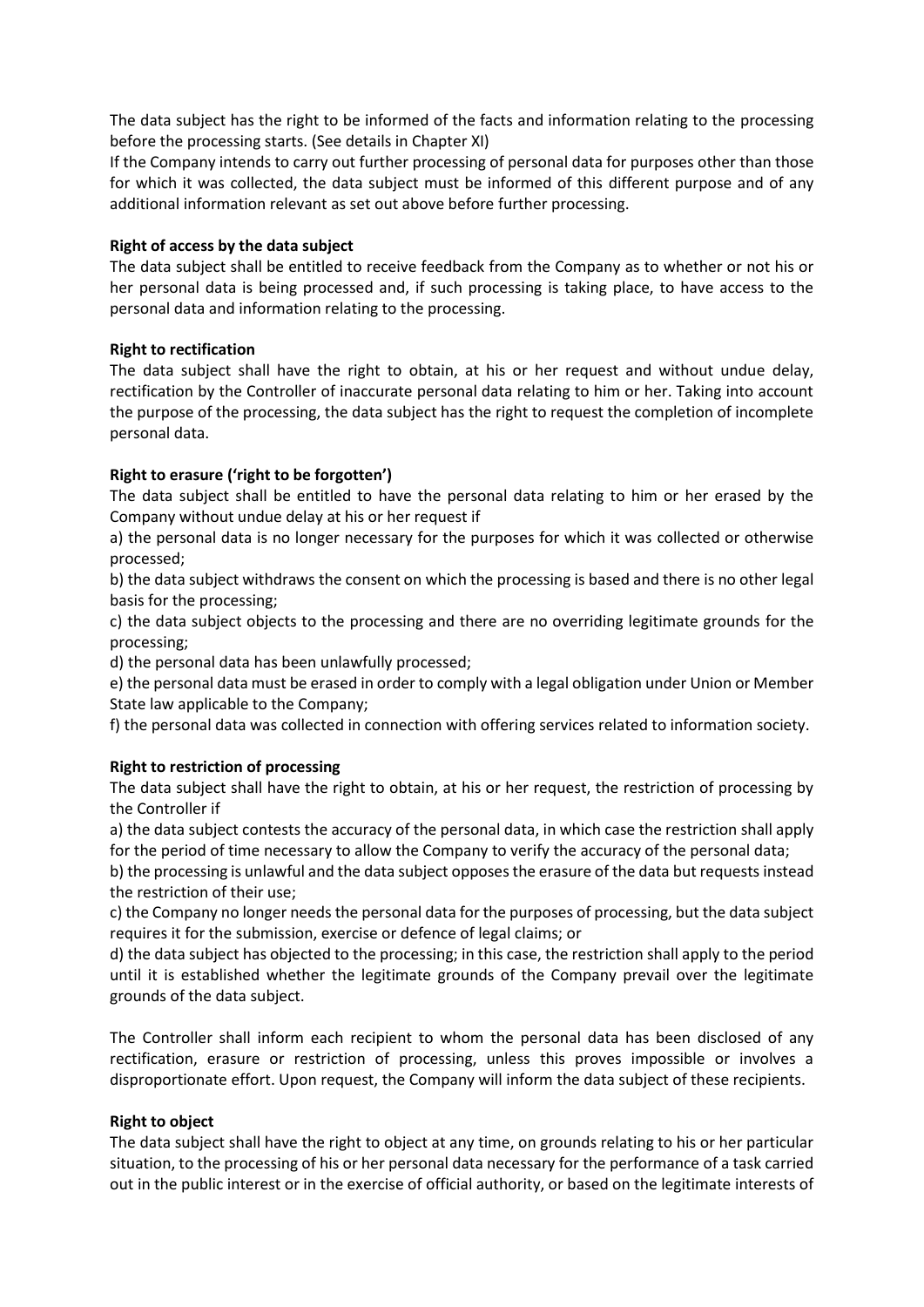The data subject has the right to be informed of the facts and information relating to the processing before the processing starts. (See details in Chapter XI)

If the Company intends to carry out further processing of personal data for purposes other than those for which it was collected, the data subject must be informed of this different purpose and of any additional information relevant as set out above before further processing.

## **Right of access by the data subject**

The data subject shall be entitled to receive feedback from the Company as to whether or not his or her personal data is being processed and, if such processing is taking place, to have access to the personal data and information relating to the processing.

## **Right to rectification**

The data subject shall have the right to obtain, at his or her request and without undue delay, rectification by the Controller of inaccurate personal data relating to him or her. Taking into account the purpose of the processing, the data subject has the right to request the completion of incomplete personal data.

## **Right to erasure ('right to be forgotten')**

The data subject shall be entitled to have the personal data relating to him or her erased by the Company without undue delay at his or her request if

a) the personal data is no longer necessary for the purposes for which it was collected or otherwise processed;

b) the data subject withdraws the consent on which the processing is based and there is no other legal basis for the processing;

c) the data subject objects to the processing and there are no overriding legitimate grounds for the processing;

d) the personal data has been unlawfully processed;

e) the personal data must be erased in order to comply with a legal obligation under Union or Member State law applicable to the Company;

f) the personal data was collected in connection with offering services related to information society.

# **Right to restriction of processing**

The data subject shall have the right to obtain, at his or her request, the restriction of processing by the Controller if

a) the data subject contests the accuracy of the personal data, in which case the restriction shall apply for the period of time necessary to allow the Company to verify the accuracy of the personal data;

b) the processing is unlawful and the data subject opposes the erasure of the data but requests instead the restriction of their use;

c) the Company no longer needs the personal data for the purposes of processing, but the data subject requires it for the submission, exercise or defence of legal claims; or

d) the data subject has objected to the processing; in this case, the restriction shall apply to the period until it is established whether the legitimate grounds of the Company prevail over the legitimate grounds of the data subject.

The Controller shall inform each recipient to whom the personal data has been disclosed of any rectification, erasure or restriction of processing, unless this proves impossible or involves a disproportionate effort. Upon request, the Company will inform the data subject of these recipients.

#### **Right to object**

The data subject shall have the right to object at any time, on grounds relating to his or her particular situation, to the processing of his or her personal data necessary for the performance of a task carried out in the public interest or in the exercise of official authority, or based on the legitimate interests of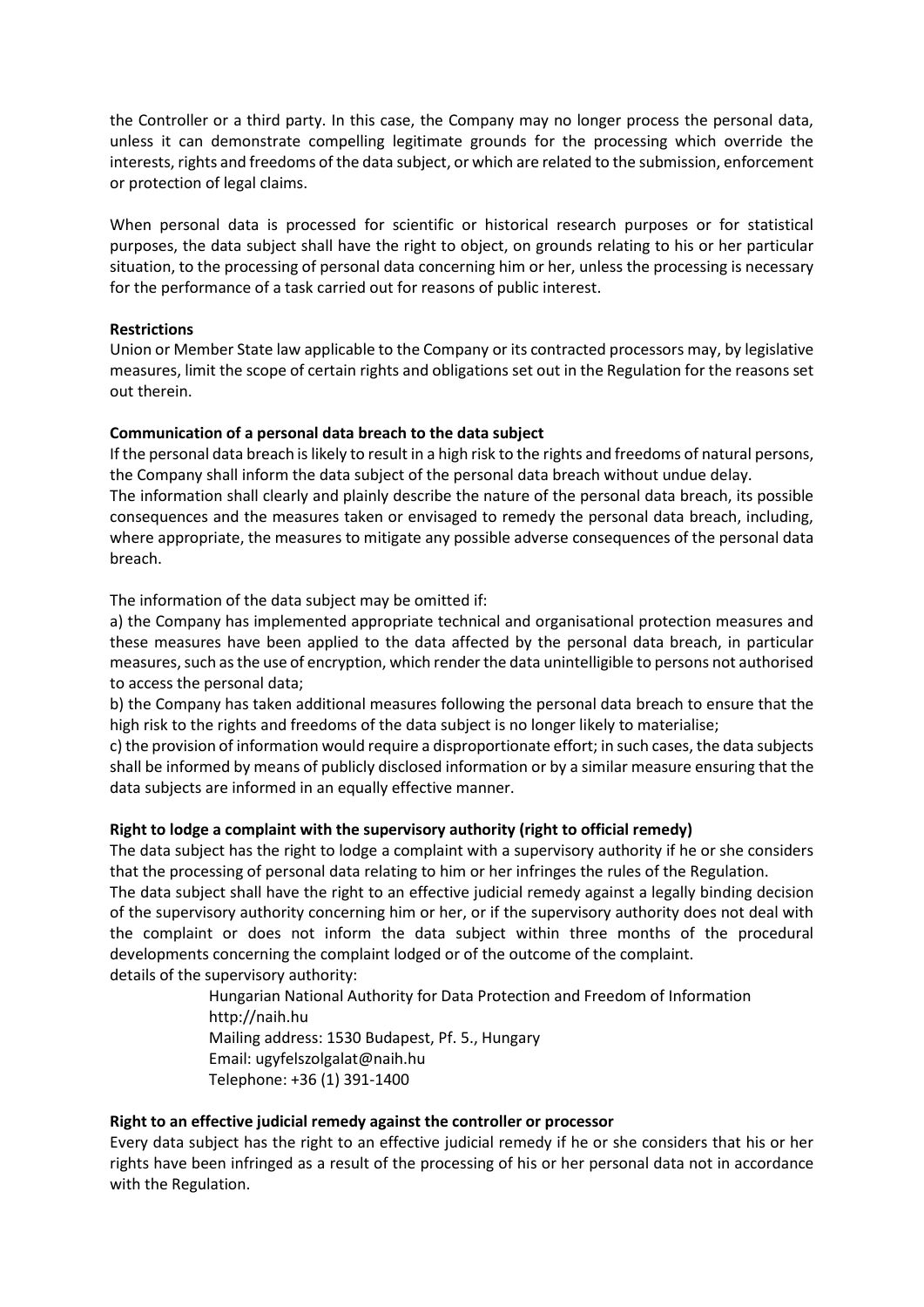the Controller or a third party. In this case, the Company may no longer process the personal data, unless it can demonstrate compelling legitimate grounds for the processing which override the interests, rights and freedoms of the data subject, or which are related to the submission, enforcement or protection of legal claims.

When personal data is processed for scientific or historical research purposes or for statistical purposes, the data subject shall have the right to object, on grounds relating to his or her particular situation, to the processing of personal data concerning him or her, unless the processing is necessary for the performance of a task carried out for reasons of public interest.

## **Restrictions**

Union or Member State law applicable to the Company or its contracted processors may, by legislative measures, limit the scope of certain rights and obligations set out in the Regulation for the reasons set out therein.

## **Communication of a personal data breach to the data subject**

If the personal data breach is likely to result in a high risk to the rights and freedoms of natural persons, the Company shall inform the data subject of the personal data breach without undue delay.

The information shall clearly and plainly describe the nature of the personal data breach, its possible consequences and the measures taken or envisaged to remedy the personal data breach, including, where appropriate, the measures to mitigate any possible adverse consequences of the personal data breach.

The information of the data subject may be omitted if:

a) the Company has implemented appropriate technical and organisational protection measures and these measures have been applied to the data affected by the personal data breach, in particular measures, such as the use of encryption, which render the data unintelligible to persons not authorised to access the personal data;

b) the Company has taken additional measures following the personal data breach to ensure that the high risk to the rights and freedoms of the data subject is no longer likely to materialise;

c) the provision of information would require a disproportionate effort; in such cases, the data subjects shall be informed by means of publicly disclosed information or by a similar measure ensuring that the data subjects are informed in an equally effective manner.

# **Right to lodge a complaint with the supervisory authority (right to official remedy)**

The data subject has the right to lodge a complaint with a supervisory authority if he or she considers that the processing of personal data relating to him or her infringes the rules of the Regulation.

The data subject shall have the right to an effective judicial remedy against a legally binding decision of the supervisory authority concerning him or her, or if the supervisory authority does not deal with the complaint or does not inform the data subject within three months of the procedural developments concerning the complaint lodged or of the outcome of the complaint. details of the supervisory authority:

Hungarian National Authority for Data Protection and Freedom of Information http://naih.hu Mailing address: 1530 Budapest, Pf. 5., Hungary Email: ugyfelszolgalat@naih.hu Telephone: +36 (1) 391-1400

#### **Right to an effective judicial remedy against the controller or processor**

Every data subject has the right to an effective judicial remedy if he or she considers that his or her rights have been infringed as a result of the processing of his or her personal data not in accordance with the Regulation.